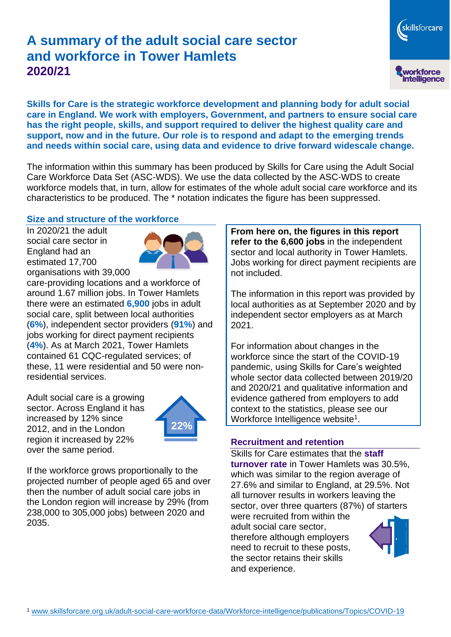# **A summary of the adult social care sector and workforce in Tower Hamlets 2020/21**

**Skills for Care is the strategic workforce development and planning body for adult social care in England. We work with employers, Government, and partners to ensure social care has the right people, skills, and support required to deliver the highest quality care and support, now and in the future. Our role is to respond and adapt to the emerging trends and needs within social care, using data and evidence to drive forward widescale change.**

The information within this summary has been produced by Skills for Care using the Adult Social Care Workforce Data Set (ASC-WDS). We use the data collected by the ASC-WDS to create workforce models that, in turn, allow for estimates of the whole adult social care workforce and its characteristics to be produced. The \* notation indicates the figure has been suppressed.

### **Size and structure of the workforce**

In 2020/21 the adult social care sector in England had an estimated 17,700 organisations with 39,000



care-providing locations and a workforce of around 1.67 million jobs. In Tower Hamlets there were an estimated **6,900** jobs in adult social care, split between local authorities (**6%**), independent sector providers (**91%**) and jobs working for direct payment recipients (**4%**). As at March 2021, Tower Hamlets contained 61 CQC-regulated services; of these, 11 were residential and 50 were nonresidential services.

Adult social care is a growing sector. Across England it has increased by 12% since 2012, and in the London region it increased by 22% over the same period.



If the workforce grows proportionally to the projected number of people aged 65 and over then the number of adult social care jobs in the London region will increase by 29% (from 238,000 to 305,000 jobs) between 2020 and 2035.

**From here on, the figures in this report refer to the 6,600 jobs** in the independent sector and local authority in Tower Hamlets. Jobs working for direct payment recipients are not included.

The information in this report was provided by local authorities as at September 2020 and by independent sector employers as at March 2021.

For information about changes in the workforce since the start of the COVID-19 pandemic, using Skills for Care's weighted whole sector data collected between 2019/20 and 2020/21 and qualitative information and evidence gathered from employers to add context to the statistics, please see our Workforce Intelligence website<sup>1</sup>.

#### **Recruitment and retention**

Skills for Care estimates that the **staff turnover rate** in Tower Hamlets was 30.5%, which was similar to the region average of 27.6% and similar to England, at 29.5%. Not all turnover results in workers leaving the sector, over three quarters (87%) of starters

were recruited from within the adult social care sector, therefore although employers need to recruit to these posts, the sector retains their skills and experience.



skillsforcare

workforce<br>intelligence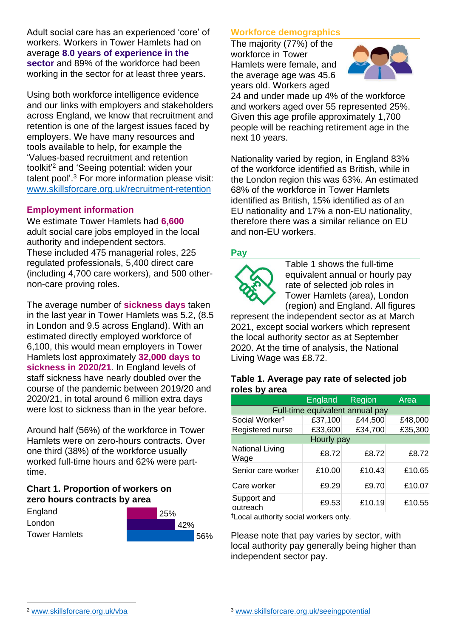Adult social care has an experienced 'core' of workers. Workers in Tower Hamlets had on average **8.0 years of experience in the sector** and 89% of the workforce had been working in the sector for at least three years.

Using both workforce intelligence evidence and our links with employers and stakeholders across England, we know that recruitment and retention is one of the largest issues faced by employers. We have many resources and tools available to help, for example the 'Values-based recruitment and retention toolkit'<sup>2</sup> and 'Seeing potential: widen your talent pool'. <sup>3</sup> For more information please visit: [www.skillsforcare.org.uk/recruitment-retention](http://www.skillsforcare.org.uk/recruitment-retention)

### **Employment information**

We estimate Tower Hamlets had **6,600** adult social care jobs employed in the local authority and independent sectors. These included 475 managerial roles, 225 regulated professionals, 5,400 direct care (including 4,700 care workers), and 500 othernon-care proving roles.

The average number of **sickness days** taken in the last year in Tower Hamlets was 5.2, (8.5 in London and 9.5 across England). With an estimated directly employed workforce of 6,100, this would mean employers in Tower Hamlets lost approximately **32,000 days to sickness in 2020/21**. In England levels of staff sickness have nearly doubled over the course of the pandemic between 2019/20 and 2020/21, in total around 6 million extra days were lost to sickness than in the year before.

Around half (56%) of the workforce in Tower Hamlets were on zero-hours contracts. Over one third (38%) of the workforce usually worked full-time hours and 62% were parttime.

# **Chart 1. Proportion of workers on zero hours contracts by area**

| England              | 125% |      |     |
|----------------------|------|------|-----|
| London               |      | '42% |     |
| <b>Tower Hamlets</b> |      |      | 56% |

## **Workforce demographics**

The majority (77%) of the workforce in Tower Hamlets were female, and the average age was 45.6 years old. Workers aged



24 and under made up 4% of the workforce and workers aged over 55 represented 25%. Given this age profile approximately 1,700 people will be reaching retirement age in the next 10 years.

Nationality varied by region, in England 83% of the workforce identified as British, while in the London region this was 63%. An estimated 68% of the workforce in Tower Hamlets identified as British, 15% identified as of an EU nationality and 17% a non-EU nationality, therefore there was a similar reliance on EU and non-EU workers.

### **Pay**



Table 1 shows the full-time equivalent annual or hourly pay rate of selected job roles in Tower Hamlets (area), London (region) and England. All figures

represent the independent sector as at March 2021, except social workers which represent the local authority sector as at September 2020. At the time of analysis, the National Living Wage was £8.72.

#### **Table 1. Average pay rate of selected job roles by area**

|                                 | <b>England</b> | Region  | Area    |  |  |
|---------------------------------|----------------|---------|---------|--|--|
| Full-time equivalent annual pay |                |         |         |  |  |
| Social Worker <sup>t</sup>      | £37,100        | £44,500 | £48,000 |  |  |
| Registered nurse                | £33,600        | £34,700 | £35,300 |  |  |
| Hourly pay                      |                |         |         |  |  |
| <b>National Living</b><br>Wage  | £8.72          | £8.72   | £8.72   |  |  |
| Senior care worker              | £10.00         | £10.43  | £10.65  |  |  |
| Care worker                     | £9.29          | £9.70   | £10.07  |  |  |
| Support and<br>outreach         | £9.53          | £10.19  | £10.55  |  |  |

†Local authority social workers only.

Please note that pay varies by sector, with local authority pay generally being higher than independent sector pay.

[www.skillsforcare.org.uk/vba](http://www.skillsforcare.org.uk/vba)